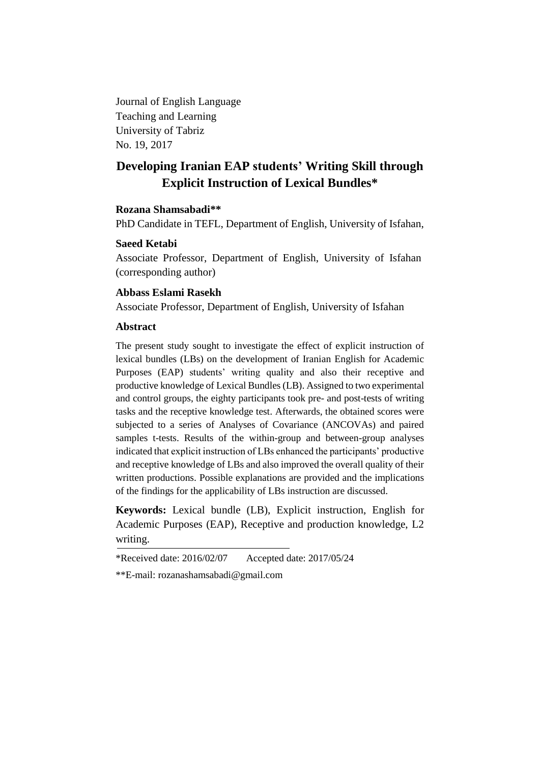Journal of English Language Teaching and Learning University of Tabriz No. 19, 2017

# **Developing Iranian EAP students' Writing Skill through Explicit Instruction of Lexical Bundles\***

## **Rozana Shamsabadi\*\***

PhD Candidate in TEFL, Department of English, University of Isfahan,

# **Saeed Ketabi**

Associate Professor, Department of English, University of Isfahan (corresponding author)

# **Abbass Eslami Rasekh**

Associate Professor, Department of English, University of Isfahan

# **Abstract**

The present study sought to investigate the effect of explicit instruction of lexical bundles (LBs) on the development of Iranian English for Academic Purposes (EAP) students' writing quality and also their receptive and productive knowledge of Lexical Bundles (LB). Assigned to two experimental and control groups, the eighty participants took pre- and post-tests of writing tasks and the receptive knowledge test. Afterwards, the obtained scores were subjected to a series of Analyses of Covariance (ANCOVAs) and paired samples t-tests. Results of the within-group and between-group analyses indicated that explicit instruction of LBs enhanced the participants' productive and receptive knowledge of LBs and also improved the overall quality of their written productions. Possible explanations are provided and the implications of the findings for the applicability of LBs instruction are discussed.

**Keywords:** Lexical bundle (LB), Explicit instruction, English for Academic Purposes (EAP), Receptive and production knowledge, L2 writing.

\*Received date: 2016/02/07 Accepted date: 2017/05/24

<sup>\*\*</sup>E-mail: [rozanashamsabadi@gmail.com](mailto:rozanashamsabadi@gmail.com)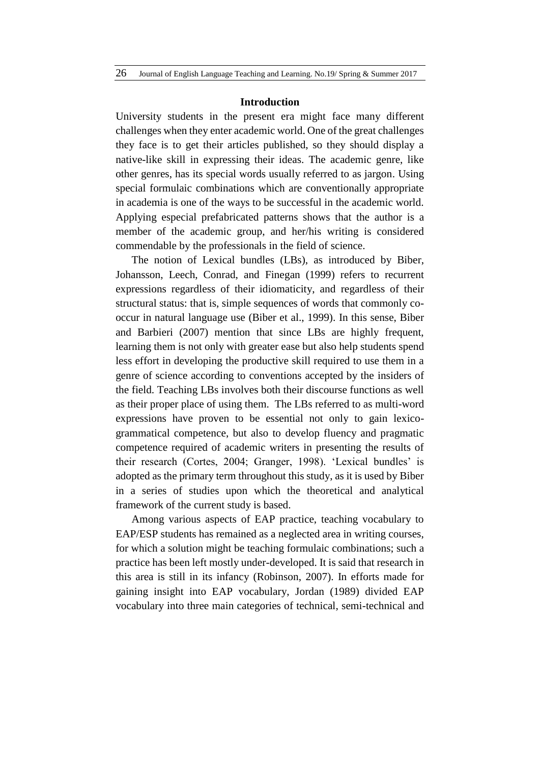#### **Introduction**

University students in the present era might face many different challenges when they enter academic world. One of the great challenges they face is to get their articles published, so they should display a native-like skill in expressing their ideas. The academic genre, like other genres, has its special words usually referred to as jargon. Using special formulaic combinations which are conventionally appropriate in academia is one of the ways to be successful in the academic world. Applying especial prefabricated patterns shows that the author is a member of the academic group, and her/his writing is considered commendable by the professionals in the field of science.

The notion of Lexical bundles (LBs), as introduced by Biber, Johansson, Leech, Conrad, and Finegan (1999) refers to recurrent expressions regardless of their idiomaticity, and regardless of their structural status: that is, simple sequences of words that commonly cooccur in natural language use (Biber et al., 1999). In this sense, Biber and Barbieri (2007) mention that since LBs are highly frequent, learning them is not only with greater ease but also help students spend less effort in developing the productive skill required to use them in a genre of science according to conventions accepted by the insiders of the field. Teaching LBs involves both their discourse functions as well as their proper place of using them. The LBs referred to as multi-word expressions have proven to be essential not only to gain lexicogrammatical competence, but also to develop fluency and pragmatic competence required of academic writers in presenting the results of their research (Cortes, 2004; Granger, 1998). 'Lexical bundles' is adopted as the primary term throughout this study, as it is used by Biber in a series of studies upon which the theoretical and analytical framework of the current study is based.

Among various aspects of EAP practice, teaching vocabulary to EAP/ESP students has remained as a neglected area in writing courses, for which a solution might be teaching formulaic combinations; such a practice has been left mostly under-developed. It is said that research in this area is still in its infancy (Robinson, 2007). In efforts made for gaining insight into EAP vocabulary, Jordan (1989) divided EAP vocabulary into three main categories of technical, semi-technical and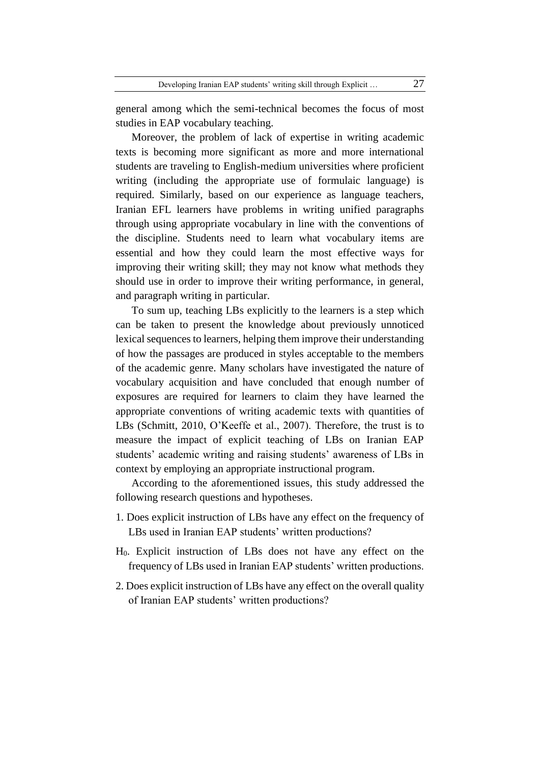general among which the semi-technical becomes the focus of most studies in EAP vocabulary teaching.

Moreover, the problem of lack of expertise in writing academic texts is becoming more significant as more and more international students are traveling to English-medium universities where proficient writing (including the appropriate use of formulaic language) is required. Similarly, based on our experience as language teachers, Iranian EFL learners have problems in writing unified paragraphs through using appropriate vocabulary in line with the conventions of the discipline. Students need to learn what vocabulary items are essential and how they could learn the most effective ways for improving their writing skill; they may not know what methods they should use in order to improve their writing performance, in general, and paragraph writing in particular.

To sum up, teaching LBs explicitly to the learners is a step which can be taken to present the knowledge about previously unnoticed lexical sequences to learners, helping them improve their understanding of how the passages are produced in styles acceptable to the members of the academic genre. Many scholars have investigated the nature of vocabulary acquisition and have concluded that enough number of exposures are required for learners to claim they have learned the appropriate conventions of writing academic texts with quantities of LBs (Schmitt, 2010, O'Keeffe et al., 2007). Therefore, the trust is to measure the impact of explicit teaching of LBs on Iranian EAP students' academic writing and raising students' awareness of LBs in context by employing an appropriate instructional program.

According to the aforementioned issues, this study addressed the following research questions and hypotheses.

- 1. Does explicit instruction of LBs have any effect on the frequency of LBs used in Iranian EAP students' written productions?
- H0. Explicit instruction of LBs does not have any effect on the frequency of LBs used in Iranian EAP students' written productions.
- 2. Does explicit instruction of LBs have any effect on the overall quality of Iranian EAP students' written productions?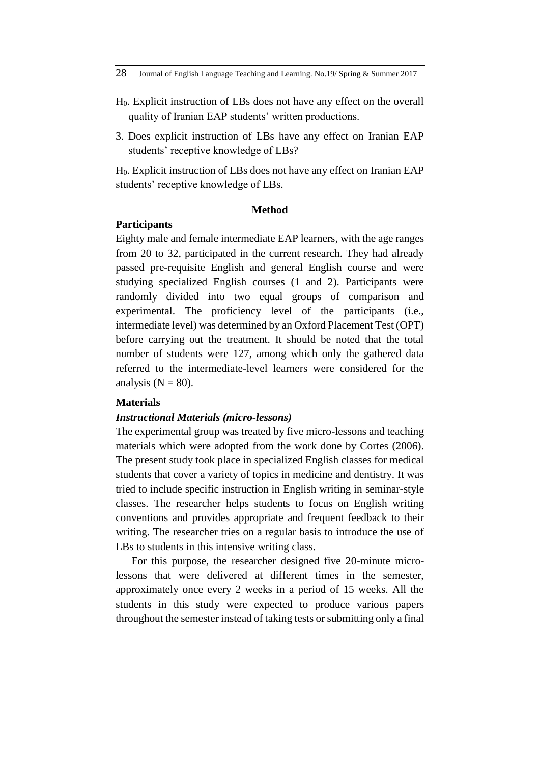- H0. Explicit instruction of LBs does not have any effect on the overall quality of Iranian EAP students' written productions.
- 3. Does explicit instruction of LBs have any effect on Iranian EAP students' receptive knowledge of LBs?

H0. Explicit instruction of LBs does not have any effect on Iranian EAP students' receptive knowledge of LBs.

## **Method**

# **Participants**

Eighty male and female intermediate EAP learners, with the age ranges from 20 to 32, participated in the current research. They had already passed pre-requisite English and general English course and were studying specialized English courses (1 and 2). Participants were randomly divided into two equal groups of comparison and experimental. The proficiency level of the participants (i.e., intermediate level) was determined by an Oxford Placement Test (OPT) before carrying out the treatment. It should be noted that the total number of students were 127, among which only the gathered data referred to the intermediate-level learners were considered for the analysis  $(N = 80)$ .

# **Materials**

# *Instructional Materials (micro-lessons)*

The experimental group was treated by five micro-lessons and teaching materials which were adopted from the work done by Cortes (2006). The present study took place in specialized English classes for medical students that cover a variety of topics in medicine and dentistry. It was tried to include specific instruction in English writing in seminar-style classes. The researcher helps students to focus on English writing conventions and provides appropriate and frequent feedback to their writing. The researcher tries on a regular basis to introduce the use of LBs to students in this intensive writing class.

For this purpose, the researcher designed five 20-minute microlessons that were delivered at different times in the semester, approximately once every 2 weeks in a period of 15 weeks. All the students in this study were expected to produce various papers throughout the semester instead of taking tests or submitting only a final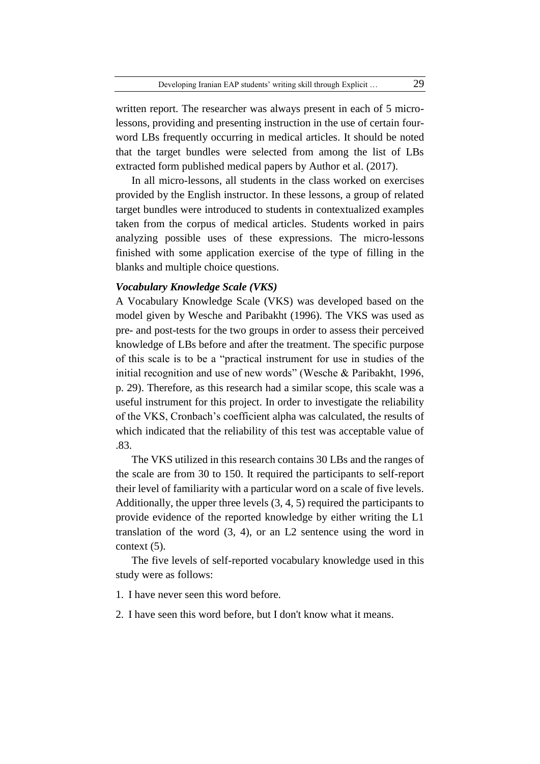written report. The researcher was always present in each of 5 microlessons, providing and presenting instruction in the use of certain fourword LBs frequently occurring in medical articles. It should be noted that the target bundles were selected from among the list of LBs extracted form published medical papers by Author et al. (2017).

In all micro-lessons, all students in the class worked on exercises provided by the English instructor. In these lessons, a group of related target bundles were introduced to students in contextualized examples taken from the corpus of medical articles. Students worked in pairs analyzing possible uses of these expressions. The micro-lessons finished with some application exercise of the type of filling in the blanks and multiple choice questions.

# *Vocabulary Knowledge Scale (VKS)*

A Vocabulary Knowledge Scale (VKS) was developed based on the model given by Wesche and Paribakht (1996). The VKS was used as pre- and post-tests for the two groups in order to assess their perceived knowledge of LBs before and after the treatment. The specific purpose of this scale is to be a "practical instrument for use in studies of the initial recognition and use of new words" (Wesche & Paribakht, 1996, p. 29). Therefore, as this research had a similar scope, this scale was a useful instrument for this project. In order to investigate the reliability of the VKS, Cronbach's coefficient alpha was calculated, the results of which indicated that the reliability of this test was acceptable value of .83.

The VKS utilized in this research contains 30 LBs and the ranges of the scale are from 30 to 150. It required the participants to self-report their level of familiarity with a particular word on a scale of five levels. Additionally, the upper three levels (3, 4, 5) required the participants to provide evidence of the reported knowledge by either writing the L1 translation of the word (3, 4), or an L2 sentence using the word in context (5).

The five levels of self-reported vocabulary knowledge used in this study were as follows:

1. I have never seen this word before.

2. I have seen this word before, but I don't know what it means.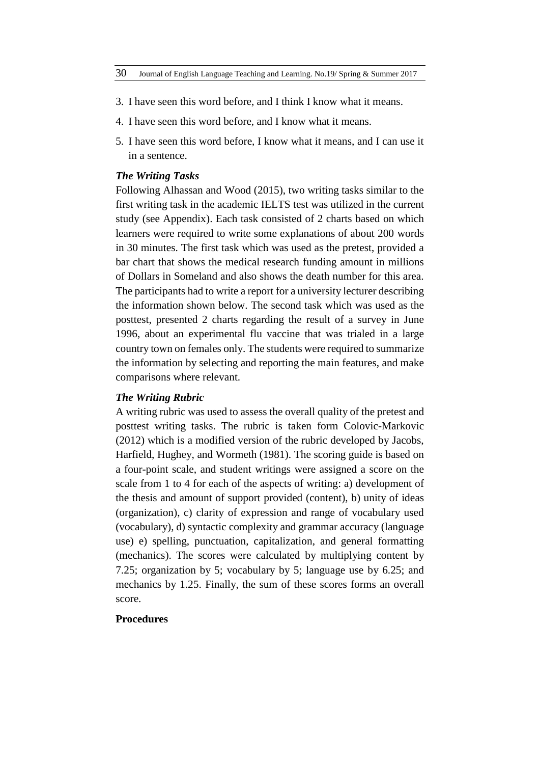- 3. I have seen this word before, and I think I know what it means.
- 4. I have seen this word before, and I know what it means.
- 5. I have seen this word before, I know what it means, and I can use it in a sentence.

# *The Writing Tasks*

Following Alhassan and Wood (2015), two writing tasks similar to the first writing task in the academic IELTS test was utilized in the current study (see Appendix). Each task consisted of 2 charts based on which learners were required to write some explanations of about 200 words in 30 minutes. The first task which was used as the pretest, provided a bar chart that shows the medical research funding amount in millions of Dollars in Someland and also shows the death number for this area. The participants had to write a report for a university lecturer describing the information shown below. The second task which was used as the posttest, presented 2 charts regarding the result of a survey in June 1996, about an experimental flu vaccine that was trialed in a large country town on females only. The students were required to summarize the information by selecting and reporting the main features, and make comparisons where relevant.

# *The Writing Rubric*

A writing rubric was used to assess the overall quality of the pretest and posttest writing tasks. The rubric is taken form Colovic-Markovic (2012) which is a modified version of the rubric developed by Jacobs, Harfield, Hughey, and Wormeth (1981). The scoring guide is based on a four-point scale, and student writings were assigned a score on the scale from 1 to 4 for each of the aspects of writing: a) development of the thesis and amount of support provided (content), b) unity of ideas (organization), c) clarity of expression and range of vocabulary used (vocabulary), d) syntactic complexity and grammar accuracy (language use) e) spelling, punctuation, capitalization, and general formatting (mechanics). The scores were calculated by multiplying content by 7.25; organization by 5; vocabulary by 5; language use by 6.25; and mechanics by 1.25. Finally, the sum of these scores forms an overall score.

## **Procedures**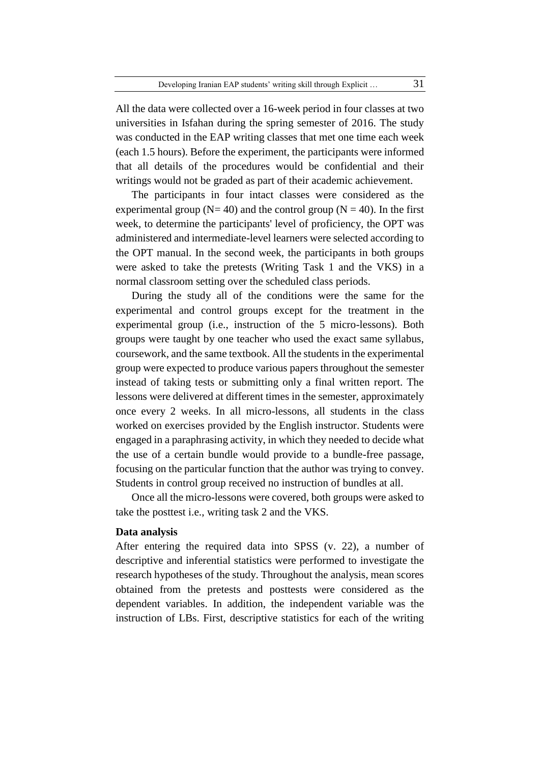All the data were collected over a 16-week period in four classes at two universities in Isfahan during the spring semester of 2016. The study was conducted in the EAP writing classes that met one time each week (each 1.5 hours). Before the experiment, the participants were informed that all details of the procedures would be confidential and their writings would not be graded as part of their academic achievement.

The participants in four intact classes were considered as the experimental group ( $N= 40$ ) and the control group ( $N = 40$ ). In the first week, to determine the participants' level of proficiency, the OPT was administered and intermediate-level learners were selected according to the OPT manual. In the second week, the participants in both groups were asked to take the pretests (Writing Task 1 and the VKS) in a normal classroom setting over the scheduled class periods.

During the study all of the conditions were the same for the experimental and control groups except for the treatment in the experimental group (i.e., instruction of the 5 micro-lessons). Both groups were taught by one teacher who used the exact same syllabus, coursework, and the same textbook. All the students in the experimental group were expected to produce various papers throughout the semester instead of taking tests or submitting only a final written report. The lessons were delivered at different times in the semester, approximately once every 2 weeks. In all micro-lessons, all students in the class worked on exercises provided by the English instructor. Students were engaged in a paraphrasing activity, in which they needed to decide what the use of a certain bundle would provide to a bundle-free passage, focusing on the particular function that the author was trying to convey. Students in control group received no instruction of bundles at all.

Once all the micro-lessons were covered, both groups were asked to take the posttest i.e., writing task 2 and the VKS.

#### **Data analysis**

After entering the required data into SPSS (v. 22), a number of descriptive and inferential statistics were performed to investigate the research hypotheses of the study. Throughout the analysis, mean scores obtained from the pretests and posttests were considered as the dependent variables. In addition, the independent variable was the instruction of LBs. First, descriptive statistics for each of the writing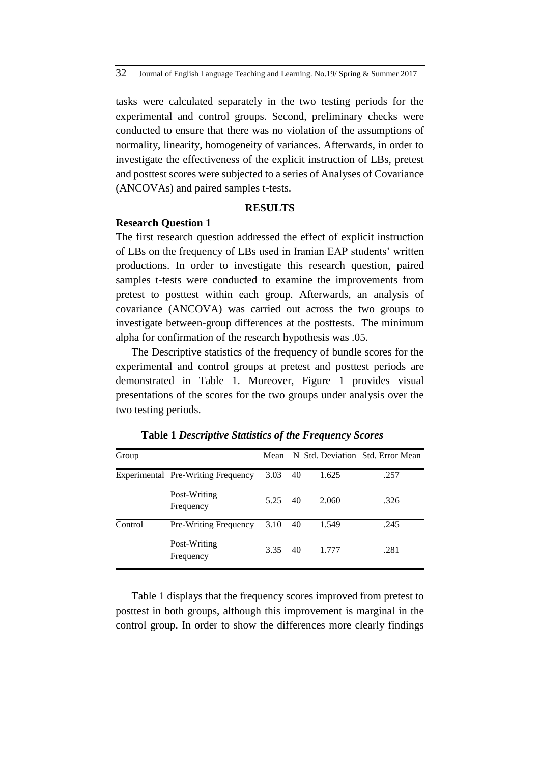tasks were calculated separately in the two testing periods for the experimental and control groups. Second, preliminary checks were conducted to ensure that there was no violation of the assumptions of normality, linearity, homogeneity of variances. Afterwards, in order to investigate the effectiveness of the explicit instruction of LBs, pretest and posttest scores were subjected to a series of Analyses of Covariance (ANCOVAs) and paired samples t-tests.

# **RESULTS**

## **Research Question 1**

The first research question addressed the effect of explicit instruction of LBs on the frequency of LBs used in Iranian EAP students' written productions. In order to investigate this research question, paired samples t-tests were conducted to examine the improvements from pretest to posttest within each group. Afterwards, an analysis of covariance (ANCOVA) was carried out across the two groups to investigate between-group differences at the posttests. The minimum alpha for confirmation of the research hypothesis was .05.

The Descriptive statistics of the frequency of bundle scores for the experimental and control groups at pretest and posttest periods are demonstrated in Table 1. Moreover, Figure 1 provides visual presentations of the scores for the two groups under analysis over the two testing periods.

| Group   |                                    | Mean |    |       | N Std. Deviation Std. Error Mean |
|---------|------------------------------------|------|----|-------|----------------------------------|
|         | Experimental Pre-Writing Frequency | 3.03 | 40 | 1.625 | .257                             |
|         | Post-Writing<br>Frequency          | 5.25 | 40 | 2.060 | .326                             |
| Control | Pre-Writing Frequency              | 3.10 | 40 | 1.549 | .245                             |
|         | Post-Writing<br>Frequency          | 3.35 | 40 | 1.777 | .281                             |

**Table 1** *Descriptive Statistics of the Frequency Scores*

Table 1 displays that the frequency scores improved from pretest to posttest in both groups, although this improvement is marginal in the control group. In order to show the differences more clearly findings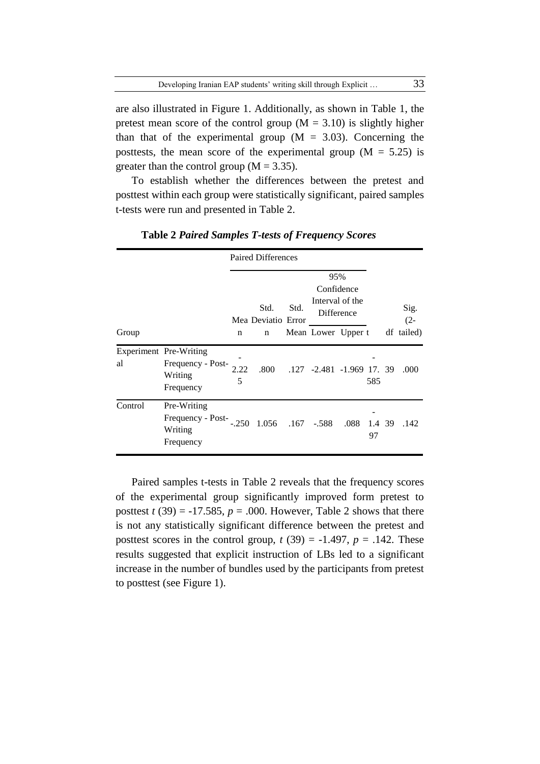are also illustrated in Figure 1. Additionally, as shown in Table 1, the pretest mean score of the control group  $(M = 3.10)$  is slightly higher than that of the experimental group  $(M = 3.03)$ . Concerning the posttests, the mean score of the experimental group ( $M = 5.25$ ) is greater than the control group  $(M = 3.35)$ .

To establish whether the differences between the pretest and posttest within each group were statistically significant, paired samples t-tests were run and presented in Table 2.

|         |                                                                     | <b>Paired Differences</b> |                            |      |                           |                               |              |  |                |
|---------|---------------------------------------------------------------------|---------------------------|----------------------------|------|---------------------------|-------------------------------|--------------|--|----------------|
|         |                                                                     |                           |                            | 95%  |                           |                               |              |  |                |
|         |                                                                     |                           |                            |      |                           | Confidence                    |              |  |                |
|         |                                                                     |                           | Std.<br>Mea Deviatio Error | Std. |                           | Interval of the<br>Difference |              |  | Sig.<br>$(2 -$ |
| Group   |                                                                     | n                         | n                          |      | Mean Lower Upper t        |                               |              |  | df tailed)     |
| al      | Experiment Pre-Writing<br>Frequency - Post-<br>Writing<br>Frequency | 2.22<br>5                 | .800                       |      | .127 -2.481 -1.969 17. 39 |                               | 585          |  | .000           |
| Control | Pre-Writing<br>Frequency - Post-<br>Writing<br>Frequency            | $-.250$                   | 1.056 .167 -.588           |      |                           | .088                          | 1.4 39<br>97 |  | .142           |

**Table 2** *Paired Samples T-tests of Frequency Scores*

Paired samples t-tests in Table 2 reveals that the frequency scores of the experimental group significantly improved form pretest to posttest  $t(39) = -17.585$ ,  $p = .000$ . However, Table 2 shows that there is not any statistically significant difference between the pretest and posttest scores in the control group,  $t(39) = -1.497$ ,  $p = .142$ . These results suggested that explicit instruction of LBs led to a significant increase in the number of bundles used by the participants from pretest to posttest (see Figure 1).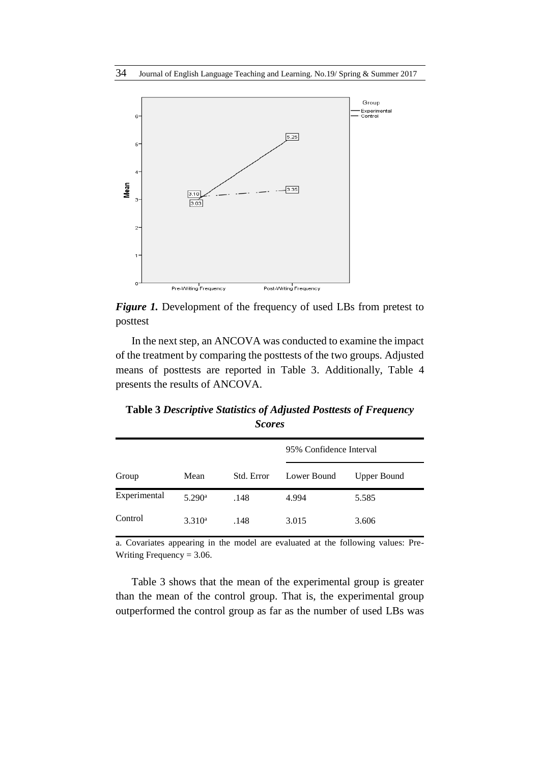

*Figure 1.* Development of the frequency of used LBs from pretest to posttest

In the next step, an ANCOVA was conducted to examine the impact of the treatment by comparing the posttests of the two groups. Adjusted means of posttests are reported in Table 3. Additionally, Table 4 presents the results of ANCOVA.

**Table 3** *Descriptive Statistics of Adjusted Posttests of Frequency Scores*

|              |                      |            | 95% Confidence Interval |             |  |  |
|--------------|----------------------|------------|-------------------------|-------------|--|--|
| Group        | Mean                 | Std. Error | Lower Bound             | Upper Bound |  |  |
| Experimental | $5.290$ <sup>a</sup> | .148       | 4.994                   | 5.585       |  |  |
| Control      | 3.310 <sup>a</sup>   | .148       | 3.015                   | 3.606       |  |  |

a. Covariates appearing in the model are evaluated at the following values: Pre-Writing Frequency  $= 3.06$ .

Table 3 shows that the mean of the experimental group is greater than the mean of the control group. That is, the experimental group outperformed the control group as far as the number of used LBs was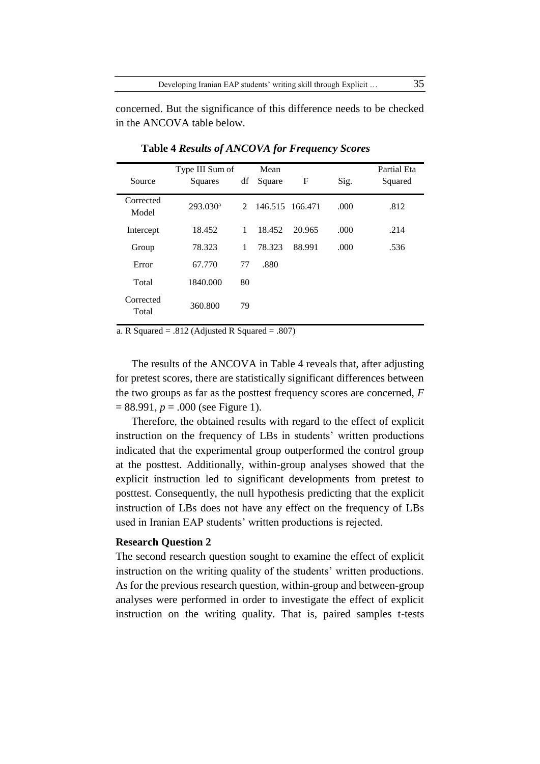concerned. But the significance of this difference needs to be checked in the ANCOVA table below.

| Source             | Type III Sum of<br>Squares | df          | Mean<br>Square  | F      | Sig. | Partial Eta<br>Squared |
|--------------------|----------------------------|-------------|-----------------|--------|------|------------------------|
| Corrected<br>Model | $293.030$ <sup>a</sup>     | $2^{\circ}$ | 146.515 166.471 |        | .000 | .812                   |
| Intercept          | 18.452                     | 1           | 18.452          | 20.965 | .000 | .214                   |
| Group              | 78.323                     | 1           | 78.323          | 88.991 | .000 | .536                   |
| Error              | 67.770                     | 77          | .880            |        |      |                        |
| Total              | 1840.000                   | 80          |                 |        |      |                        |
| Corrected<br>Total | 360.800                    | 79          |                 |        |      |                        |

**Table 4** *Results of ANCOVA for Frequency Scores*

a. R Squared =  $.812$  (Adjusted R Squared =  $.807$ )

The results of the ANCOVA in Table 4 reveals that, after adjusting for pretest scores, there are statistically significant differences between the two groups as far as the posttest frequency scores are concerned, *F* = 88.991, *p* = .000 (see Figure 1).

Therefore, the obtained results with regard to the effect of explicit instruction on the frequency of LBs in students' written productions indicated that the experimental group outperformed the control group at the posttest. Additionally, within-group analyses showed that the explicit instruction led to significant developments from pretest to posttest. Consequently, the null hypothesis predicting that the explicit instruction of LBs does not have any effect on the frequency of LBs used in Iranian EAP students' written productions is rejected.

## **Research Question 2**

The second research question sought to examine the effect of explicit instruction on the writing quality of the students' written productions. As for the previous research question, within-group and between-group analyses were performed in order to investigate the effect of explicit instruction on the writing quality. That is, paired samples t-tests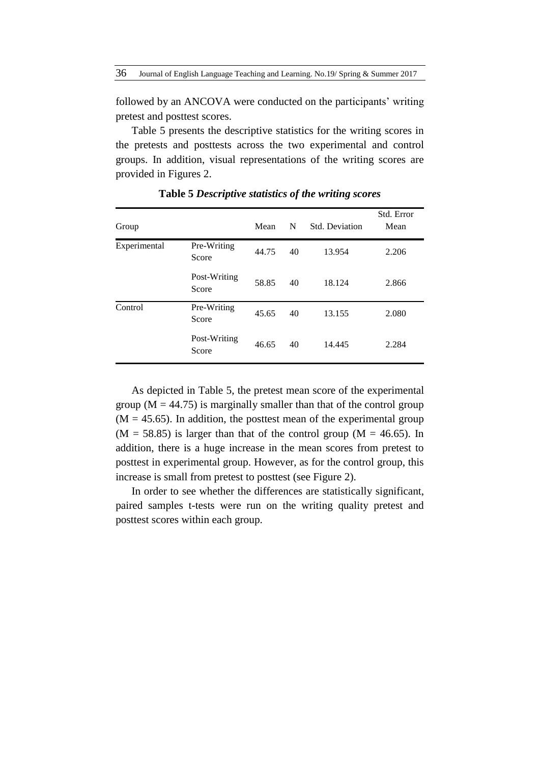36 Journal of English Language Teaching and Learning. No.19/ Spring & Summer 2017

followed by an ANCOVA were conducted on the participants' writing pretest and posttest scores.

Table 5 presents the descriptive statistics for the writing scores in the pretests and posttests across the two experimental and control groups. In addition, visual representations of the writing scores are provided in Figures 2.

| Group        |                       | Mean  | N  | Std. Deviation | Std. Error<br>Mean |
|--------------|-----------------------|-------|----|----------------|--------------------|
| Experimental | Pre-Writing<br>Score  | 44.75 | 40 | 13.954         | 2.206              |
|              | Post-Writing<br>Score | 58.85 | 40 | 18.124         | 2.866              |
| Control      | Pre-Writing<br>Score  | 45.65 | 40 | 13.155         | 2.080              |
|              | Post-Writing<br>Score | 46.65 | 40 | 14.445         | 2.284              |

**Table 5** *Descriptive statistics of the writing scores*

As depicted in Table 5, the pretest mean score of the experimental group ( $M = 44.75$ ) is marginally smaller than that of the control group  $(M = 45.65)$ . In addition, the posttest mean of the experimental group  $(M = 58.85)$  is larger than that of the control group  $(M = 46.65)$ . In addition, there is a huge increase in the mean scores from pretest to posttest in experimental group. However, as for the control group, this increase is small from pretest to posttest (see Figure 2).

In order to see whether the differences are statistically significant, paired samples t-tests were run on the writing quality pretest and posttest scores within each group.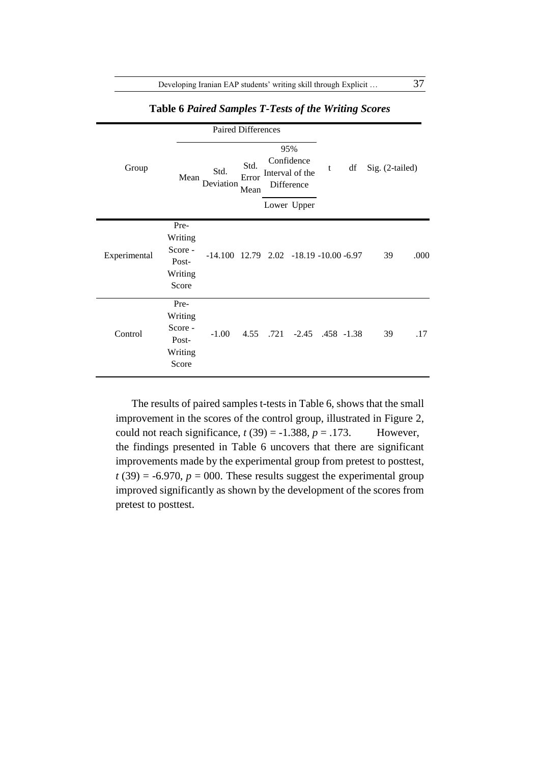Developing Iranian EAP students' writing skill through Explicit ... 37

|              |                                                         | <b>Paired Differences</b>                          |                       |                                                    |   |    |                 |      |
|--------------|---------------------------------------------------------|----------------------------------------------------|-----------------------|----------------------------------------------------|---|----|-----------------|------|
| Group        | Mean                                                    | Std.<br>Deviation                                  | Std.<br>Error<br>Mean | 95%<br>Confidence<br>Interval of the<br>Difference | t | df | Sig. (2-tailed) |      |
|              |                                                         |                                                    |                       | Lower Upper                                        |   |    |                 |      |
| Experimental | Pre-<br>Writing<br>Score -<br>Post-<br>Writing<br>Score | $-14.100$ $12.79$ $2.02$ $-18.19$ $-10.00$ $-6.97$ |                       |                                                    |   |    | 39              | .000 |
| Control      | Pre-<br>Writing<br>Score -<br>Post-<br>Writing<br>Score | $-1.00$                                            |                       | 4.55 .721 -2.45 .458 -1.38                         |   |    | 39              | .17  |

**Table 6** *Paired Samples T-Tests of the Writing Scores*

The results of paired samples t-tests in Table 6, shows that the small improvement in the scores of the control group, illustrated in Figure 2, could not reach significance,  $t(39) = -1.388$ ,  $p = .173$ . However, the findings presented in Table 6 uncovers that there are significant improvements made by the experimental group from pretest to posttest,  $t(39) = -6.970$ ,  $p = 000$ . These results suggest the experimental group improved significantly as shown by the development of the scores from pretest to posttest.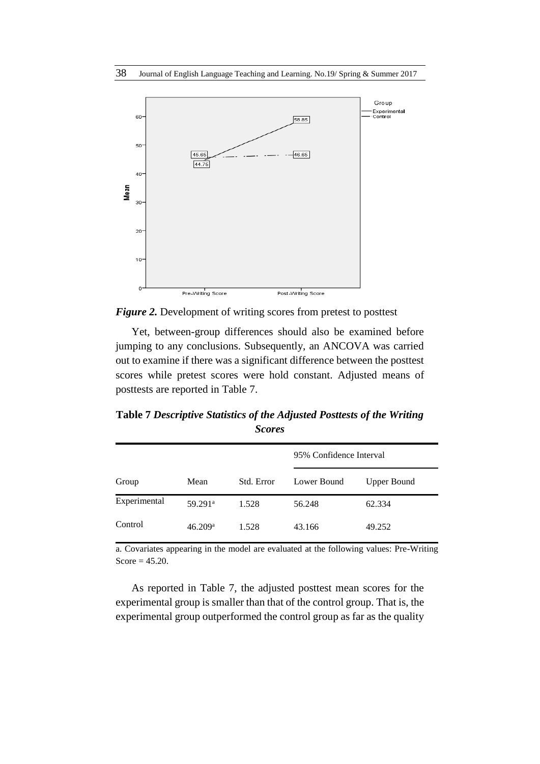

*Figure 2.* Development of writing scores from pretest to posttest

Yet, between-group differences should also be examined before jumping to any conclusions. Subsequently, an ANCOVA was carried out to examine if there was a significant difference between the posttest scores while pretest scores were hold constant. Adjusted means of posttests are reported in Table 7.

**Table 7** *Descriptive Statistics of the Adjusted Posttests of the Writing Scores*

|              |                     |            | 95% Confidence Interval |                    |  |
|--------------|---------------------|------------|-------------------------|--------------------|--|
| Group        | Mean                | Std. Error | Lower Bound             | <b>Upper Bound</b> |  |
| Experimental | 59.291 <sup>a</sup> | 1.528      | 56.248                  | 62.334             |  |
| Control      | 46.209a             | 1.528      | 43.166                  | 49.252             |  |

a. Covariates appearing in the model are evaluated at the following values: Pre-Writing Score  $= 45.20$ .

As reported in Table 7, the adjusted posttest mean scores for the experimental group is smaller than that of the control group. That is, the experimental group outperformed the control group as far as the quality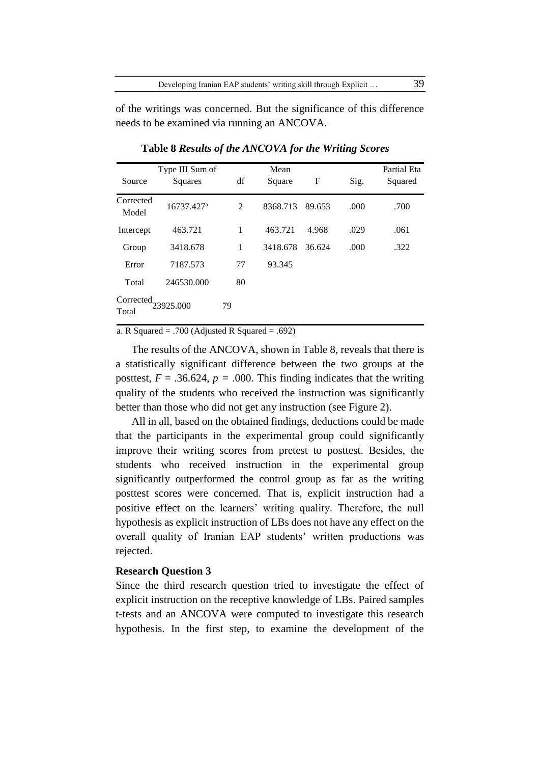of the writings was concerned. But the significance of this difference needs to be examined via running an ANCOVA.

| Source             | Type III Sum of<br>Squares | df | Mean<br>Square | $\mathbf F$ | Sig. | Partial Eta<br>Squared |
|--------------------|----------------------------|----|----------------|-------------|------|------------------------|
| Corrected<br>Model | 16737.427 <sup>a</sup>     | 2  | 8368.713       | 89.653      | .000 | .700                   |
| Intercept          | 463.721                    | 1  | 463.721        | 4.968       | .029 | .061                   |
| Group              | 3418.678                   | 1  | 3418.678       | 36.624      | .000 | .322                   |
| Error              | 7187.573                   | 77 | 93.345         |             |      |                        |
| Total              | 246530.000                 | 80 |                |             |      |                        |
| Corrected<br>Total | 23925.000                  | 79 |                |             |      |                        |

**Table 8** *Results of the ANCOVA for the Writing Scores*

a. R Squared = .700 (Adjusted R Squared = .692)

The results of the ANCOVA, shown in Table 8, reveals that there is a statistically significant difference between the two groups at the posttest,  $F = .36.624$ ,  $p = .000$ . This finding indicates that the writing quality of the students who received the instruction was significantly better than those who did not get any instruction (see Figure 2).

All in all, based on the obtained findings, deductions could be made that the participants in the experimental group could significantly improve their writing scores from pretest to posttest. Besides, the students who received instruction in the experimental group significantly outperformed the control group as far as the writing posttest scores were concerned. That is, explicit instruction had a positive effect on the learners' writing quality. Therefore, the null hypothesis as explicit instruction of LBs does not have any effect on the overall quality of Iranian EAP students' written productions was rejected.

# **Research Question 3**

Since the third research question tried to investigate the effect of explicit instruction on the receptive knowledge of LBs. Paired samples t-tests and an ANCOVA were computed to investigate this research hypothesis. In the first step, to examine the development of the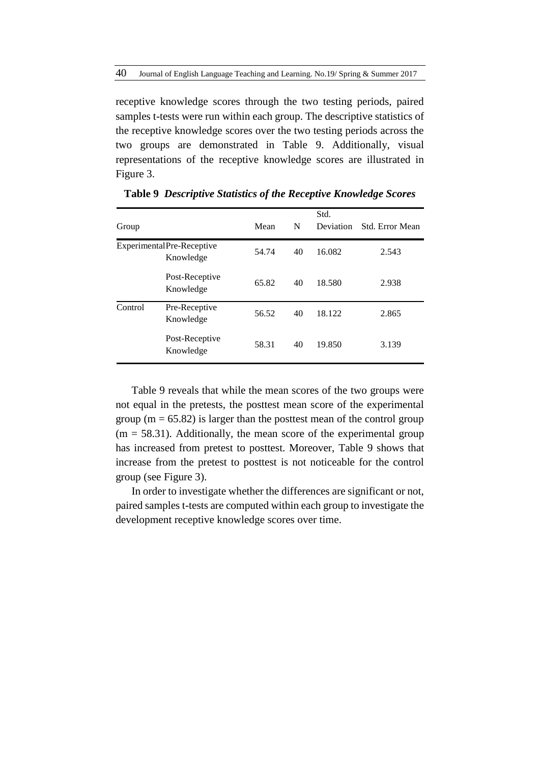receptive knowledge scores through the two testing periods, paired samples t-tests were run within each group. The descriptive statistics of the receptive knowledge scores over the two testing periods across the two groups are demonstrated in Table 9. Additionally, visual representations of the receptive knowledge scores are illustrated in Figure 3.

| Group   |                                        | Mean  | N  | Std.<br>Deviation | Std. Error Mean |
|---------|----------------------------------------|-------|----|-------------------|-----------------|
|         | ExperimentalPre-Receptive<br>Knowledge | 54.74 | 40 | 16.082            | 2.543           |
|         | Post-Receptive<br>Knowledge            | 65.82 | 40 | 18.580            | 2.938           |
| Control | Pre-Receptive<br>Knowledge             | 56.52 | 40 | 18.122            | 2.865           |
|         | Post-Receptive<br>Knowledge            | 58.31 | 40 | 19.850            | 3.139           |

**Table 9** *Descriptive Statistics of the Receptive Knowledge Scores*

Table 9 reveals that while the mean scores of the two groups were not equal in the pretests, the posttest mean score of the experimental group ( $m = 65.82$ ) is larger than the posttest mean of the control group  $(m = 58.31)$ . Additionally, the mean score of the experimental group has increased from pretest to posttest. Moreover, Table 9 shows that increase from the pretest to posttest is not noticeable for the control group (see Figure 3).

In order to investigate whether the differences are significant or not, paired samples t-tests are computed within each group to investigate the development receptive knowledge scores over time.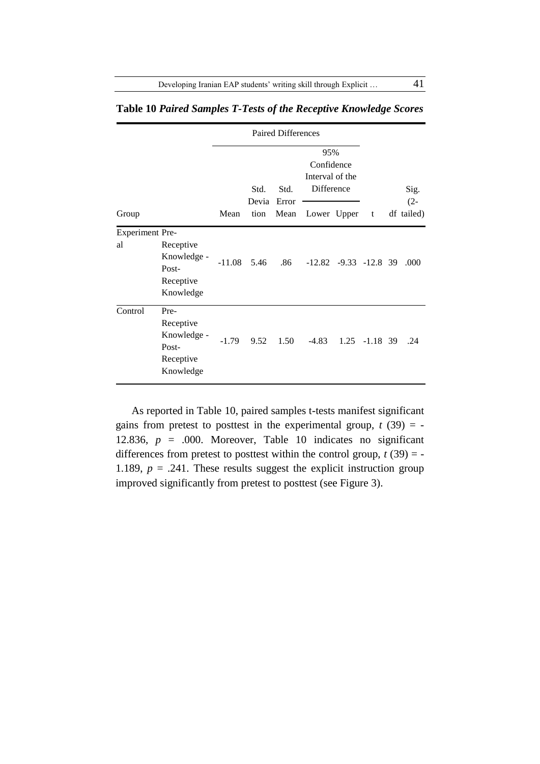|                              |                                                                     | Paired Differences |               |               |                                                    |                             |   |  |                      |
|------------------------------|---------------------------------------------------------------------|--------------------|---------------|---------------|----------------------------------------------------|-----------------------------|---|--|----------------------|
|                              |                                                                     | Std.               |               | Std.          | 95%<br>Confidence<br>Interval of the<br>Difference |                             |   |  | Sig.                 |
| Group                        |                                                                     | Mean               | Devia<br>tion | Error<br>Mean | Lower Upper                                        |                             | t |  | $(2 -$<br>df tailed) |
| <b>Experiment Pre-</b><br>al | Receptive<br>Knowledge -<br>Post-<br>Receptive<br>Knowledge         | $-11.08$           | 5.46          | .86           |                                                    | $-12.82$ $-9.33$ $-12.8$ 39 |   |  | .000                 |
| Control                      | Pre-<br>Receptive<br>Knowledge -<br>Post-<br>Receptive<br>Knowledge | $-1.79$            | 9.52          | 1.50          |                                                    | $-4.83$ 1.25 $-1.18$ 39     |   |  | .24                  |

**Table 10** *Paired Samples T-Tests of the Receptive Knowledge Scores*

As reported in Table 10, paired samples t-tests manifest significant gains from pretest to posttest in the experimental group,  $t(39) = -$ 12.836,  $p = .000$ . Moreover, Table 10 indicates no significant differences from pretest to posttest within the control group,  $t(39) = -$ 1.189,  $p = .241$ . These results suggest the explicit instruction group improved significantly from pretest to posttest (see Figure 3).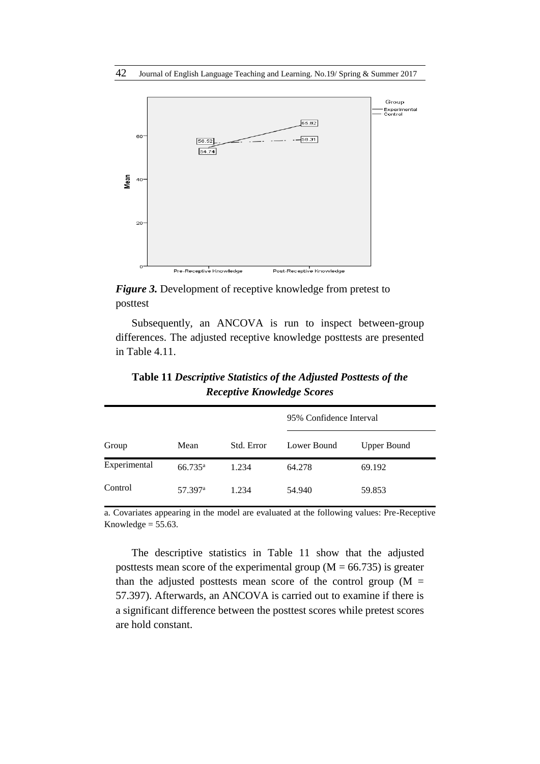

*Figure 3.* Development of receptive knowledge from pretest to posttest

Subsequently, an ANCOVA is run to inspect between-group differences. The adjusted receptive knowledge posttests are presented in Table 4.11.

|              |                     |            | 95% Confidence Interval |                    |  |
|--------------|---------------------|------------|-------------------------|--------------------|--|
| Group        | Mean                | Std. Error | Lower Bound             | <b>Upper Bound</b> |  |
| Experimental | $66.735^{\rm a}$    | 1.234      | 64.278                  | 69.192             |  |
| Control      | 57.397 <sup>a</sup> | 1.234      | 54.940                  | 59.853             |  |

**Table 11** *Descriptive Statistics of the Adjusted Posttests of the Receptive Knowledge Scores*

a. Covariates appearing in the model are evaluated at the following values: Pre-Receptive Knowledge  $= 55.63$ .

The descriptive statistics in Table 11 show that the adjusted posttests mean score of the experimental group ( $M = 66.735$ ) is greater than the adjusted posttests mean score of the control group  $(M =$ 57.397). Afterwards, an ANCOVA is carried out to examine if there is a significant difference between the posttest scores while pretest scores are hold constant.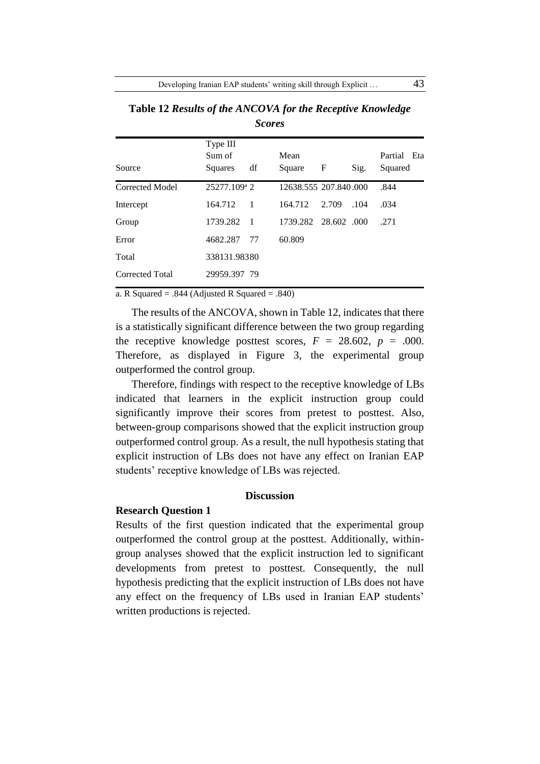| Source          | Type III<br>Sum of<br>Squares | df             | Mean<br>Square        | F           | Sig. | Partial Eta<br>Squared |
|-----------------|-------------------------------|----------------|-----------------------|-------------|------|------------------------|
| Corrected Model | 25277.109 <sup>a</sup> 2      |                | 12638.555 207.840.000 |             |      | .844                   |
| Intercept       | 164.712                       | $\overline{1}$ | 164.712               | 2.709       | .104 | .034                   |
| Group           | 1739.282                      | - 1            | 1739.282              | 28.602 .000 |      | .271                   |
| Error           | 4682.287                      | 77             | 60.809                |             |      |                        |
| Total           | 338131.98380                  |                |                       |             |      |                        |
| Corrected Total | 29959.397 79                  |                |                       |             |      |                        |

**Table 12** *Results of the ANCOVA for the Receptive Knowledge Scores*

a. R Squared = .844 (Adjusted R Squared = .840)

The results of the ANCOVA, shown in Table 12, indicates that there is a statistically significant difference between the two group regarding the receptive knowledge posttest scores,  $F = 28.602$ ,  $p = .000$ . Therefore, as displayed in Figure 3, the experimental group outperformed the control group.

Therefore, findings with respect to the receptive knowledge of LBs indicated that learners in the explicit instruction group could significantly improve their scores from pretest to posttest. Also, between-group comparisons showed that the explicit instruction group outperformed control group. As a result, the null hypothesis stating that explicit instruction of LBs does not have any effect on Iranian EAP students' receptive knowledge of LBs was rejected.

# **Discussion**

# **Research Question 1**

Results of the first question indicated that the experimental group outperformed the control group at the posttest. Additionally, withingroup analyses showed that the explicit instruction led to significant developments from pretest to posttest. Consequently, the null hypothesis predicting that the explicit instruction of LBs does not have any effect on the frequency of LBs used in Iranian EAP students' written productions is rejected.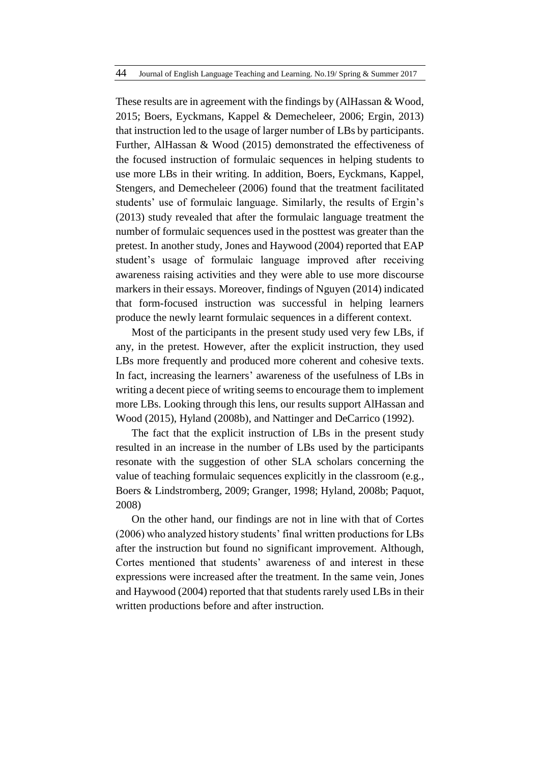These results are in agreement with the findings by (AlHassan & Wood, 2015; Boers, Eyckmans, Kappel & Demecheleer, 2006; Ergin, 2013) that instruction led to the usage of larger number of LBs by participants. Further, AlHassan & Wood (2015) demonstrated the effectiveness of the focused instruction of formulaic sequences in helping students to use more LBs in their writing. In addition, Boers, Eyckmans, Kappel, Stengers, and Demecheleer (2006) found that the treatment facilitated students' use of formulaic language. Similarly, the results of Ergin's (2013) study revealed that after the formulaic language treatment the number of formulaic sequences used in the posttest was greater than the pretest. In another study, Jones and Haywood (2004) reported that EAP student's usage of formulaic language improved after receiving awareness raising activities and they were able to use more discourse markers in their essays. Moreover, findings of Nguyen (2014) indicated that form-focused instruction was successful in helping learners produce the newly learnt formulaic sequences in a different context.

Most of the participants in the present study used very few LBs, if any, in the pretest. However, after the explicit instruction, they used LBs more frequently and produced more coherent and cohesive texts. In fact, increasing the learners' awareness of the usefulness of LBs in writing a decent piece of writing seems to encourage them to implement more LBs. Looking through this lens, our results support AlHassan and Wood (2015), Hyland (2008b), and Nattinger and DeCarrico (1992).

The fact that the explicit instruction of LBs in the present study resulted in an increase in the number of LBs used by the participants resonate with the suggestion of other SLA scholars concerning the value of teaching formulaic sequences explicitly in the classroom (e.g., Boers & Lindstromberg, 2009; Granger, 1998; Hyland, 2008b; Paquot, 2008)

On the other hand, our findings are not in line with that of Cortes (2006) who analyzed history students' final written productions for LBs after the instruction but found no significant improvement. Although, Cortes mentioned that students' awareness of and interest in these expressions were increased after the treatment. In the same vein, Jones and Haywood (2004) reported that that students rarely used LBs in their written productions before and after instruction.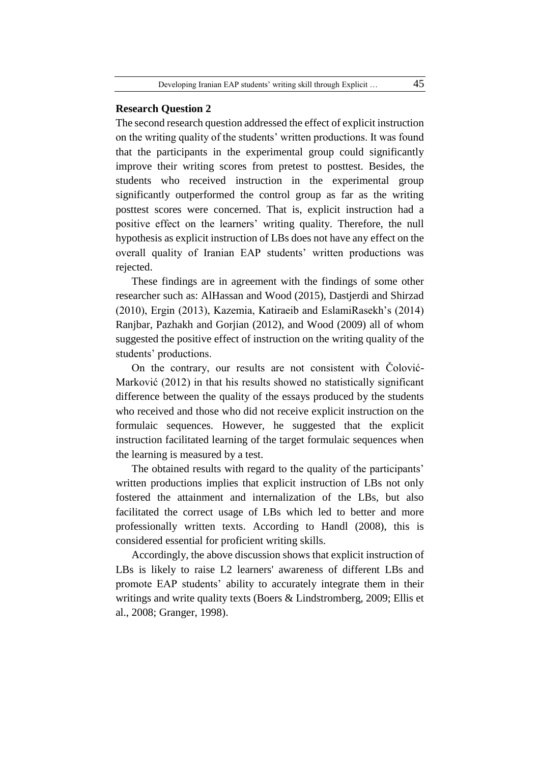#### **Research Question 2**

The second research question addressed the effect of explicit instruction on the writing quality of the students' written productions. It was found that the participants in the experimental group could significantly improve their writing scores from pretest to posttest. Besides, the students who received instruction in the experimental group significantly outperformed the control group as far as the writing posttest scores were concerned. That is, explicit instruction had a positive effect on the learners' writing quality. Therefore, the null hypothesis as explicit instruction of LBs does not have any effect on the overall quality of Iranian EAP students' written productions was rejected.

These findings are in agreement with the findings of some other researcher such as: AlHassan and Wood (2015), Dastjerdi and Shirzad (2010), Ergin (2013), Kazemia, Katiraeib and EslamiRasekh's (2014) Ranjbar, Pazhakh and Gorjian (2012), and Wood (2009) all of whom suggested the positive effect of instruction on the writing quality of the students' productions.

On the contrary, our results are not consistent with Čolović-Marković (2012) in that his results showed no statistically significant difference between the quality of the essays produced by the students who received and those who did not receive explicit instruction on the formulaic sequences. However, he suggested that the explicit instruction facilitated learning of the target formulaic sequences when the learning is measured by a test.

The obtained results with regard to the quality of the participants' written productions implies that explicit instruction of LBs not only fostered the attainment and internalization of the LBs, but also facilitated the correct usage of LBs which led to better and more professionally written texts. According to Handl (2008), this is considered essential for proficient writing skills.

Accordingly, the above discussion shows that explicit instruction of LBs is likely to raise L2 learners' awareness of different LBs and promote EAP students' ability to accurately integrate them in their writings and write quality texts (Boers & Lindstromberg, 2009; Ellis et al., 2008; Granger, 1998).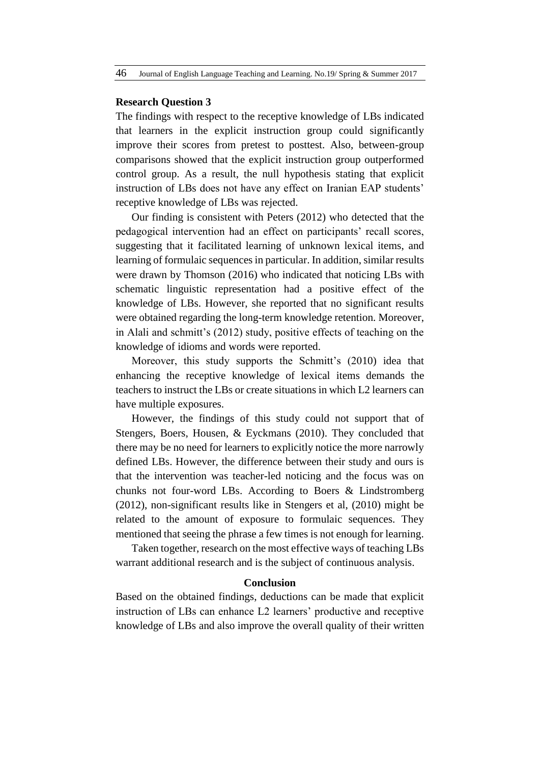## **Research Question 3**

The findings with respect to the receptive knowledge of LBs indicated that learners in the explicit instruction group could significantly improve their scores from pretest to posttest. Also, between-group comparisons showed that the explicit instruction group outperformed control group. As a result, the null hypothesis stating that explicit instruction of LBs does not have any effect on Iranian EAP students' receptive knowledge of LBs was rejected.

Our finding is consistent with Peters (2012) who detected that the pedagogical intervention had an effect on participants' recall scores, suggesting that it facilitated learning of unknown lexical items, and learning of formulaic sequences in particular. In addition, similar results were drawn by Thomson (2016) who indicated that noticing LBs with schematic linguistic representation had a positive effect of the knowledge of LBs. However, she reported that no significant results were obtained regarding the long-term knowledge retention. Moreover, in Alali and schmitt's (2012) study, positive effects of teaching on the knowledge of idioms and words were reported.

Moreover, this study supports the Schmitt's (2010) idea that enhancing the receptive knowledge of lexical items demands the teachers to instruct the LBs or create situations in which L2 learners can have multiple exposures.

However, the findings of this study could not support that of Stengers, Boers, Housen, & Eyckmans (2010). They concluded that there may be no need for learners to explicitly notice the more narrowly defined LBs. However, the difference between their study and ours is that the intervention was teacher-led noticing and the focus was on chunks not four-word LBs. According to Boers & Lindstromberg (2012), non-significant results like in Stengers et al, (2010) might be related to the amount of exposure to formulaic sequences. They mentioned that seeing the phrase a few times is not enough for learning.

Taken together, research on the most effective ways of teaching LBs warrant additional research and is the subject of continuous analysis.

### **Conclusion**

Based on the obtained findings, deductions can be made that explicit instruction of LBs can enhance L2 learners' productive and receptive knowledge of LBs and also improve the overall quality of their written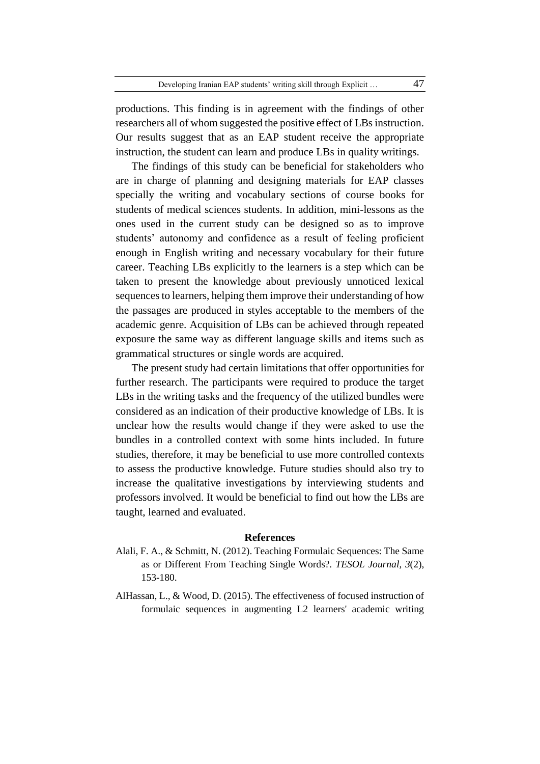productions. This finding is in agreement with the findings of other researchers all of whom suggested the positive effect of LBs instruction. Our results suggest that as an EAP student receive the appropriate instruction, the student can learn and produce LBs in quality writings.

The findings of this study can be beneficial for stakeholders who are in charge of planning and designing materials for EAP classes specially the writing and vocabulary sections of course books for students of medical sciences students. In addition, mini-lessons as the ones used in the current study can be designed so as to improve students' autonomy and confidence as a result of feeling proficient enough in English writing and necessary vocabulary for their future career. Teaching LBs explicitly to the learners is a step which can be taken to present the knowledge about previously unnoticed lexical sequences to learners, helping them improve their understanding of how the passages are produced in styles acceptable to the members of the academic genre. Acquisition of LBs can be achieved through repeated exposure the same way as different language skills and items such as grammatical structures or single words are acquired.

The present study had certain limitations that offer opportunities for further research. The participants were required to produce the target LBs in the writing tasks and the frequency of the utilized bundles were considered as an indication of their productive knowledge of LBs. It is unclear how the results would change if they were asked to use the bundles in a controlled context with some hints included. In future studies, therefore, it may be beneficial to use more controlled contexts to assess the productive knowledge. Future studies should also try to increase the qualitative investigations by interviewing students and professors involved. It would be beneficial to find out how the LBs are taught, learned and evaluated.

#### **References**

- Alali, F. A., & Schmitt, N. (2012). Teaching Formulaic Sequences: The Same as or Different From Teaching Single Words?. *TESOL Journal*, *3*(2), 153-180.
- AlHassan, L., & Wood, D. (2015). The effectiveness of focused instruction of formulaic sequences in augmenting L2 learners' academic writing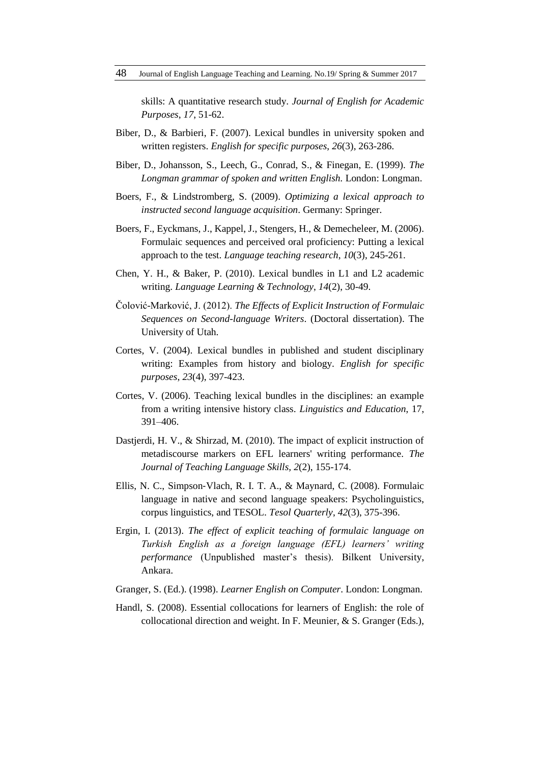skills: A quantitative research study. *Journal of English for Academic Purposes*, *17*, 51-62.

- Biber, D., & Barbieri, F. (2007). Lexical bundles in university spoken and written registers. *English for specific purposes*, *26*(3), 263-286.
- Biber, D., Johansson, S., Leech, G., Conrad, S., & Finegan, E. (1999). *The Longman grammar of spoken and written English.* London: Longman.
- Boers, F., & Lindstromberg, S. (2009). *Optimizing a lexical approach to instructed second language acquisition*. Germany: Springer.
- Boers, F., Eyckmans, J., Kappel, J., Stengers, H., & Demecheleer, M. (2006). Formulaic sequences and perceived oral proficiency: Putting a lexical approach to the test. *Language teaching research*, *10*(3), 245-261.
- Chen, Y. H., & Baker, P. (2010). Lexical bundles in L1 and L2 academic writing. *Language Learning & Technology*, *14*(2), 30-49.
- Čolović-Marković, J. (2012). *The Effects of Explicit Instruction of Formulaic Sequences on Second-language Writers*. (Doctoral dissertation). The University of Utah.
- Cortes, V. (2004). Lexical bundles in published and student disciplinary writing: Examples from history and biology. *English for specific purposes*, *23*(4), 397-423.
- Cortes, V. (2006). Teaching lexical bundles in the disciplines: an example from a writing intensive history class. *Linguistics and Education*, 17, 391–406.
- Dastjerdi, H. V., & Shirzad, M. (2010). The impact of explicit instruction of metadiscourse markers on EFL learners' writing performance. *The Journal of Teaching Language Skills, 2*(2), 155-174.
- Ellis, N. C., Simpson‐Vlach, R. I. T. A., & Maynard, C. (2008). Formulaic language in native and second language speakers: Psycholinguistics, corpus linguistics, and TESOL. *Tesol Quarterly*, *42*(3), 375-396.
- Ergin, I. (2013). *The effect of explicit teaching of formulaic language on Turkish English as a foreign language (EFL) learners' writing performance* (Unpublished master's thesis). Bilkent University, Ankara.
- Granger, S. (Ed.). (1998). *Learner English on Computer*. London: Longman.
- Handl, S. (2008). Essential collocations for learners of English: the role of collocational direction and weight. In F. Meunier, & S. Granger (Eds.),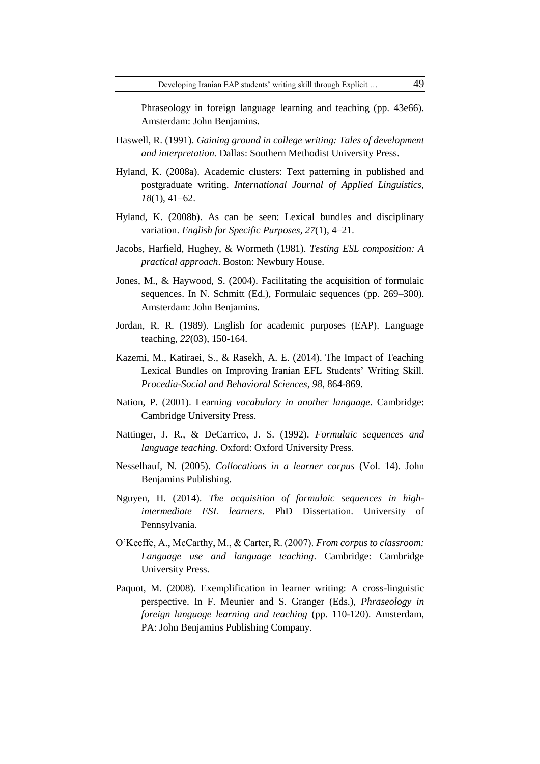Phraseology in foreign language learning and teaching (pp. 43e66). Amsterdam: John Benjamins.

- Haswell, R. (1991). *Gaining ground in college writing: Tales of development and interpretation.* Dallas: Southern Methodist University Press.
- Hyland, K. (2008a). Academic clusters: Text patterning in published and postgraduate writing. *International Journal of Applied Linguistics, 18*(1), 41–62.
- Hyland, K. (2008b). As can be seen: Lexical bundles and disciplinary variation. *English for Specific Purposes, 27*(1), 4–21.
- Jacobs, Harfield, Hughey, & Wormeth (1981). *Testing ESL composition: A practical approach*. Boston: Newbury House.
- Jones, M., & Haywood, S. (2004). Facilitating the acquisition of formulaic sequences. In N. Schmitt (Ed.), Formulaic sequences (pp. 269–300). Amsterdam: John Benjamins.
- Jordan, R. R. (1989). English for academic purposes (EAP). Language teaching, *22*(03), 150-164.
- Kazemi, M., Katiraei, S., & Rasekh, A. E. (2014). The Impact of Teaching Lexical Bundles on Improving Iranian EFL Students' Writing Skill. *Procedia-Social and Behavioral Sciences*, *98*, 864-869.
- Nation, P. (2001). Learn*ing vocabulary in another language*. Cambridge: Cambridge University Press.
- Nattinger, J. R., & DeCarrico, J. S. (1992). *Formulaic sequences and language teaching.* Oxford: Oxford University Press.
- Nesselhauf, N. (2005). *Collocations in a learner corpus* (Vol. 14). John Benjamins Publishing.
- Nguyen, H. (2014). *The acquisition of formulaic sequences in highintermediate ESL learners*. PhD Dissertation. University of Pennsylvania.
- O'Keeffe, A., McCarthy, M., & Carter, R. (2007). *From corpus to classroom: Language use and language teaching*. Cambridge: Cambridge University Press.
- Paquot, M. (2008). Exemplification in learner writing: A cross-linguistic perspective. In F. Meunier and S. Granger (Eds.), *Phraseology in foreign language learning and teaching* (pp. 110-120). Amsterdam, PA: John Benjamins Publishing Company.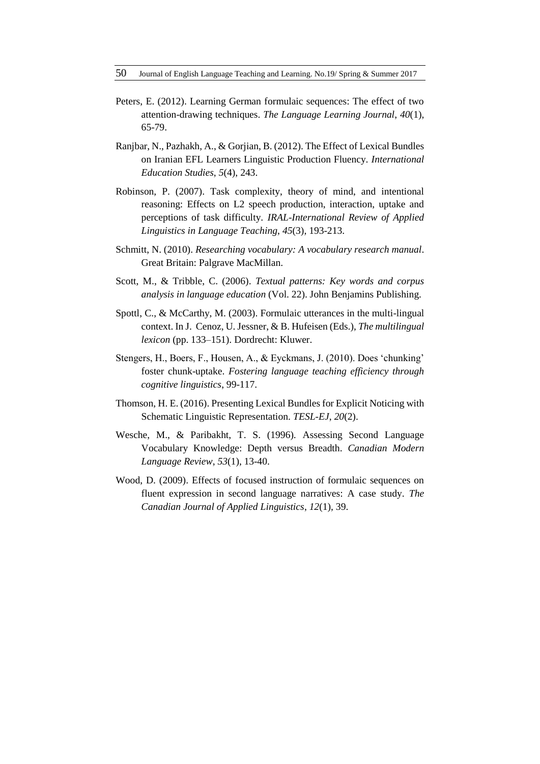- Peters, E. (2012). Learning German formulaic sequences: The effect of two attention-drawing techniques. *The Language Learning Journal*, *40*(1), 65-79.
- Ranjbar, N., Pazhakh, A., & Gorjian, B. (2012). The Effect of Lexical Bundles on Iranian EFL Learners Linguistic Production Fluency. *International Education Studies*, *5*(4), 243.
- Robinson, P. (2007). Task complexity, theory of mind, and intentional reasoning: Effects on L2 speech production, interaction, uptake and perceptions of task difficulty. *IRAL-International Review of Applied Linguistics in Language Teaching*, *45*(3), 193-213.
- Schmitt, N. (2010). *Researching vocabulary: A vocabulary research manual*. Great Britain: Palgrave MacMillan.
- Scott, M., & Tribble, C. (2006). *Textual patterns: Key words and corpus analysis in language education* (Vol. 22). John Benjamins Publishing.
- Spottl, C., & McCarthy, M. (2003). Formulaic utterances in the multi-lingual context. In J. Cenoz, U. Jessner, & B. Hufeisen (Eds.), *The multilingual lexicon* (pp. 133–151). Dordrecht: Kluwer.
- Stengers, H., Boers, F., Housen, A., & Eyckmans, J. (2010). Does 'chunking' foster chunk-uptake. *Fostering language teaching efficiency through cognitive linguistics*, 99-117.
- Thomson, H. E. (2016). Presenting Lexical Bundles for Explicit Noticing with Schematic Linguistic Representation. *TESL-EJ*, *20*(2).
- Wesche, M., & Paribakht, T. S. (1996). Assessing Second Language Vocabulary Knowledge: Depth versus Breadth. *Canadian Modern Language Review*, *53*(1), 13-40.
- Wood, D. (2009). Effects of focused instruction of formulaic sequences on fluent expression in second language narratives: A case study. *The Canadian Journal of Applied Linguistics*, *12*(1), 39.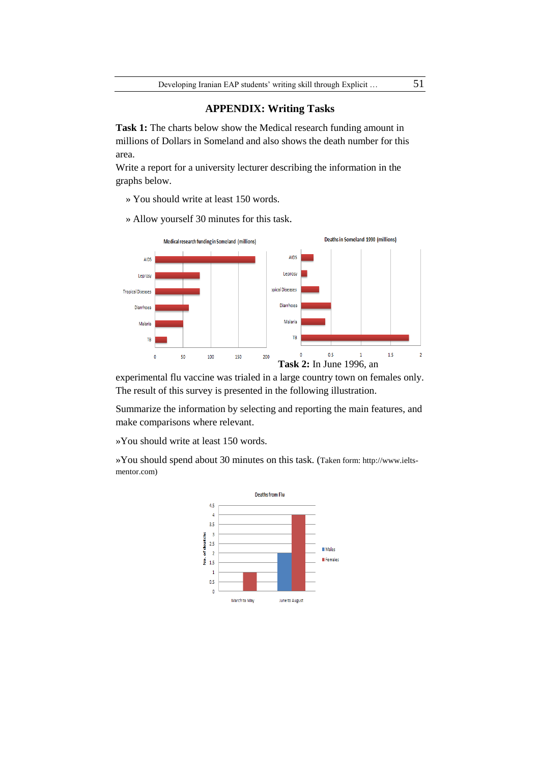## **APPENDIX: Writing Tasks**

**Task 1:** The charts below show the Medical research funding amount in millions of Dollars in Someland and also shows the death number for this area.

Write a report for a university lecturer describing the information in the graphs below.

» You should write at least 150 words.

» Allow yourself 30 minutes for this task.



experimental flu vaccine was trialed in a large country town on females only. The result of this survey is presented in the following illustration.

Summarize the information by selecting and reporting the main features, and make comparisons where relevant.

»You should write at least 150 words.

»You should spend about 30 minutes on this task. (Taken form: http://www.ieltsmentor.com)